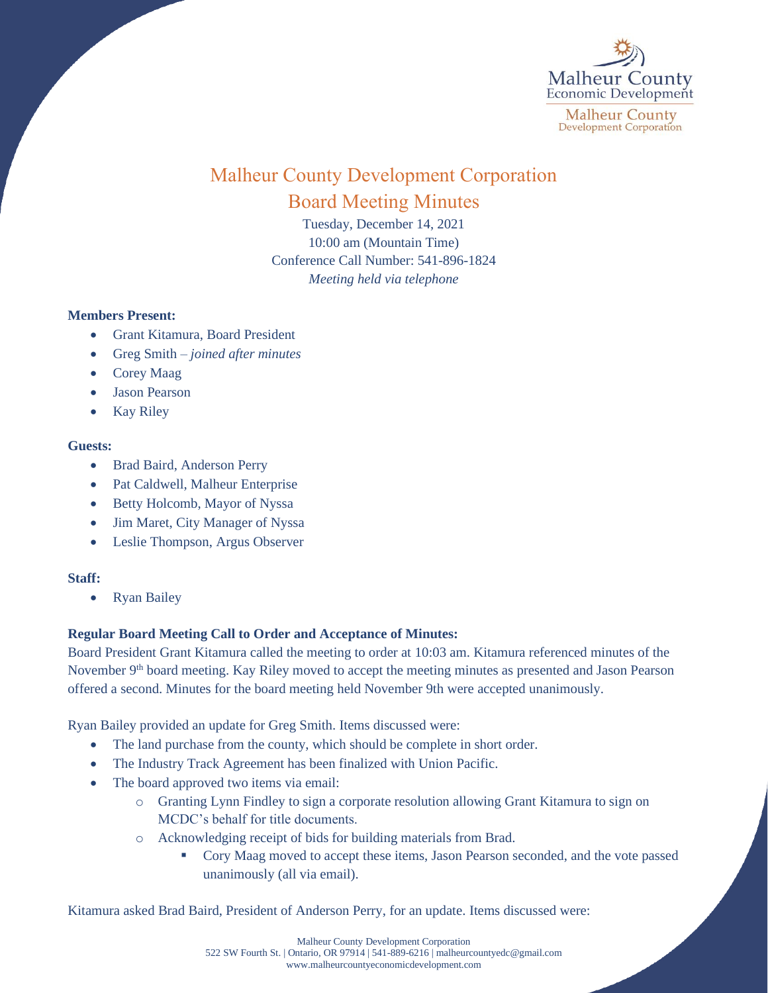

# Malheur County Development Corporation Board Meeting Minutes

Tuesday, December 14, 2021 10:00 am (Mountain Time) Conference Call Number: 541-896-1824 *Meeting held via telephone*

### **Members Present:**

- Grant Kitamura, Board President
- Greg Smith *joined after minutes*
- Corey Maag
- Jason Pearson
- **Kay Riley**

### **Guests:**

- Brad Baird, Anderson Perry
- Pat Caldwell, Malheur Enterprise
- Betty Holcomb, Mayor of Nyssa
- Jim Maret, City Manager of Nyssa
- Leslie Thompson, Argus Observer

### **Staff:**

• Ryan Bailey

## **Regular Board Meeting Call to Order and Acceptance of Minutes:**

Board President Grant Kitamura called the meeting to order at 10:03 am. Kitamura referenced minutes of the November 9<sup>th</sup> board meeting. Kay Riley moved to accept the meeting minutes as presented and Jason Pearson offered a second. Minutes for the board meeting held November 9th were accepted unanimously.

Ryan Bailey provided an update for Greg Smith. Items discussed were:

- The land purchase from the county, which should be complete in short order.
- The Industry Track Agreement has been finalized with Union Pacific.
- The board approved two items via email:
	- o Granting Lynn Findley to sign a corporate resolution allowing Grant Kitamura to sign on MCDC's behalf for title documents.
	- o Acknowledging receipt of bids for building materials from Brad.
		- Cory Maag moved to accept these items, Jason Pearson seconded, and the vote passed unanimously (all via email).

Kitamura asked Brad Baird, President of Anderson Perry, for an update. Items discussed were: